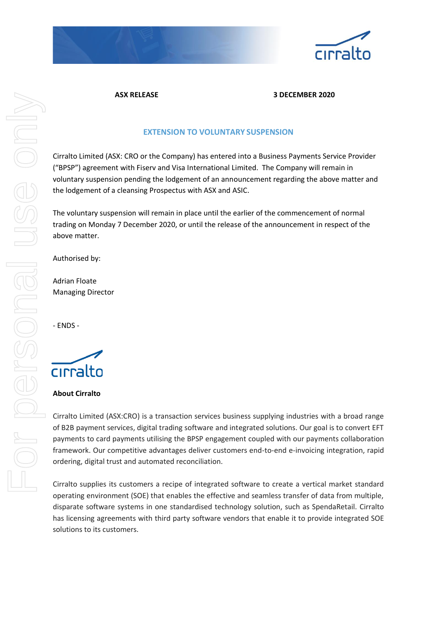



### **ASX RELEASE 3 DECEMBER 2020**

# **EXTENSION TO VOLUNTARY SUSPENSION**

Cirralto Limited (ASX: CRO or the Company) has entered into a Business Payments Service Provider ("BPSP") agreement with Fiserv and Visa International Limited. The Company will remain in voluntary suspension pending the lodgement of an announcement regarding the above matter and the lodgement of a cleansing Prospectus with ASX and ASIC.

The voluntary suspension will remain in place until the earlier of the commencement of normal trading on Monday 7 December 2020, or until the release of the announcement in respect of the above matter.

Authorised by:

Adrian Floate Managing Director

- ENDS -



#### **About Cirralto**

Cirralto Limited (ASX:CRO) is a transaction services business supplying industries with a broad range of B2B payment services, digital trading software and integrated solutions. Our goal is to convert EFT payments to card payments utilising the BPSP engagement coupled with our payments collaboration framework. Our competitive advantages deliver customers end-to-end e-invoicing integration, rapid ordering, digital trust and automated reconciliation.

Cirralto supplies its customers a recipe of integrated software to create a vertical market standard operating environment (SOE) that enables the effective and seamless transfer of data from multiple, disparate software systems in one standardised technology solution, such as SpendaRetail. Cirralto has licensing agreements with third party software vendors that enable it to provide integrated SOE solutions to its customers.